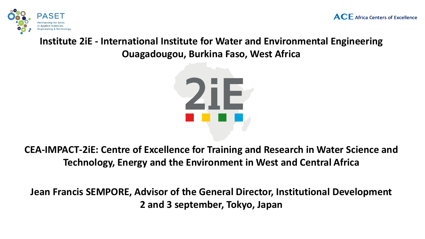

## **Institute 2iE - International Institute for Water and Environmental Engineering Ouagadougou, Burkina Faso, West Africa**



**CEA-IMPACT-2iE: Centre of Excellence for Training and Research in Water Science and Technology, Energy and the Environment in West and Central Africa**

**Jean Francis SEMPORE, Advisor of the General Director, Institutional Development 2 and 3 september, Tokyo, Japan**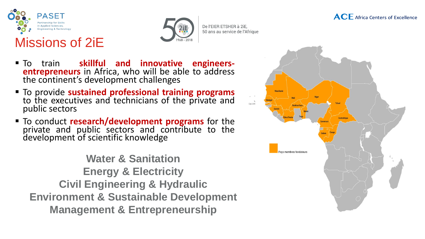

Missions of 2iE



De l'EIER ETSHER à 2iE. 50 ans au service de l'Afrique

▪ To train **skillful and innovative engineers entrepreneurs** in Africa, who will be able to address the continent's development challenges

- To provide **sustained professional training programs** to the executives and technicians of the private and public sectors
- To conduct **research/development programs** for the private and public sectors and contribute to the development of scientific knowledge

**Water & Sanitation Energy & Electricity Civil Engineering & Hydraulic Environment & Sustainable Development Management & Entrepreneurship**



**ACE** Africa Centers of Excellence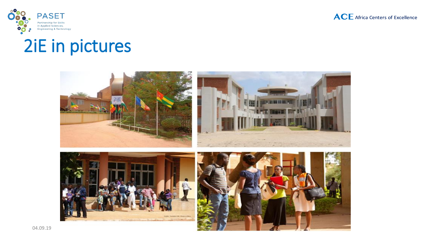



## 2iE in pictures

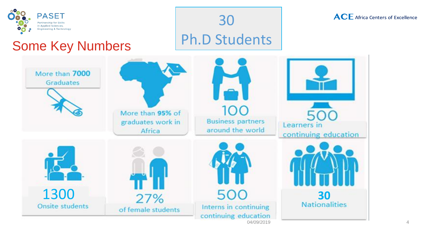

## Some Key Numbers

**ACE** Africa Centers of Excellence



30

Ph.D Students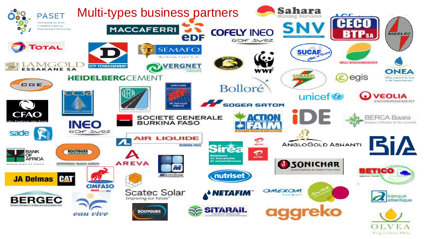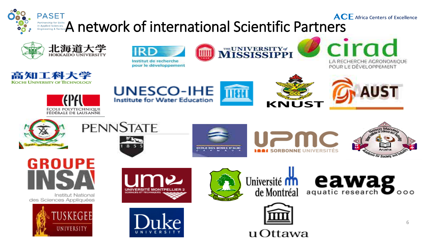









cirad LA RECHERCHE AGRONOMIQUE POUR LE DÉVELOPPEMENT











eawag













Institut National des Sciences Appliquées











u Ottawa